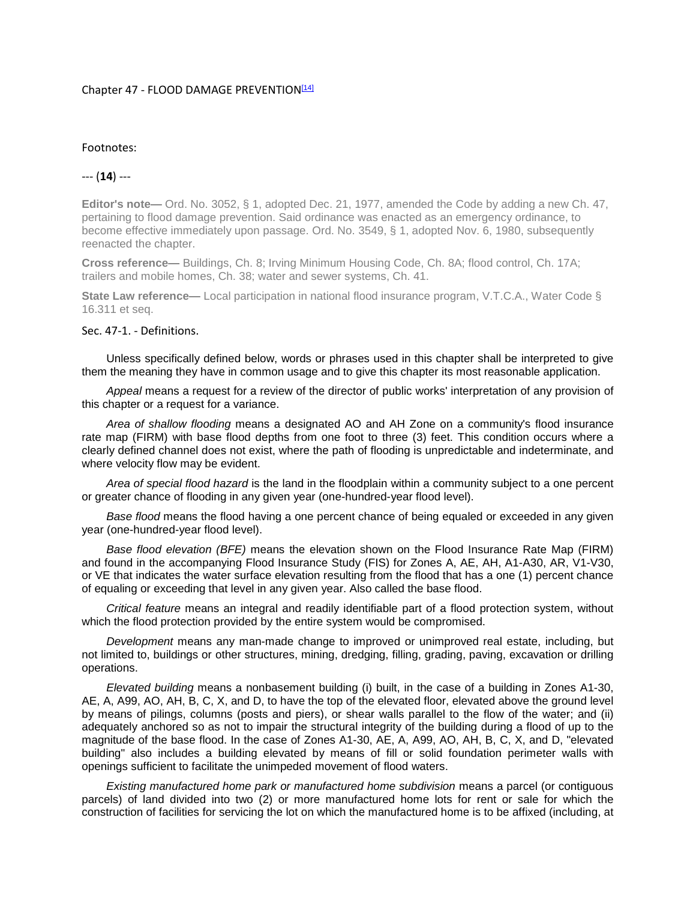#### Chapter 47 - FLOOD DAMAGE PREVENTION<sup>[14]</sup>

### Footnotes:

# --- (**14**) ---

**Editor's note—** Ord. No. 3052, § 1, adopted Dec. 21, 1977, amended the Code by adding a new Ch. 47, pertaining to flood damage prevention. Said ordinance was enacted as an emergency ordinance, to become effective immediately upon passage. Ord. No. 3549, § 1, adopted Nov. 6, 1980, subsequently reenacted the chapter.

**Cross reference—** Buildings, Ch. 8; Irving Minimum Housing Code, Ch. 8A; flood control, Ch. 17A; trailers and mobile homes, Ch. 38; water and sewer systems, Ch. 41.

**State Law reference—** Local participation in national flood insurance program, V.T.C.A., Water Code § 16.311 et seq.

## Sec. 47-1. - Definitions.

Unless specifically defined below, words or phrases used in this chapter shall be interpreted to give them the meaning they have in common usage and to give this chapter its most reasonable application.

*Appeal* means a request for a review of the director of public works' interpretation of any provision of this chapter or a request for a variance.

*Area of shallow flooding* means a designated AO and AH Zone on a community's flood insurance rate map (FIRM) with base flood depths from one foot to three (3) feet. This condition occurs where a clearly defined channel does not exist, where the path of flooding is unpredictable and indeterminate, and where velocity flow may be evident.

*Area of special flood hazard* is the land in the floodplain within a community subject to a one percent or greater chance of flooding in any given year (one-hundred-year flood level).

*Base flood* means the flood having a one percent chance of being equaled or exceeded in any given year (one-hundred-year flood level).

*Base flood elevation (BFE)* means the elevation shown on the Flood Insurance Rate Map (FIRM) and found in the accompanying Flood Insurance Study (FIS) for Zones A, AE, AH, A1-A30, AR, V1-V30, or VE that indicates the water surface elevation resulting from the flood that has a one (1) percent chance of equaling or exceeding that level in any given year. Also called the base flood.

*Critical feature* means an integral and readily identifiable part of a flood protection system, without which the flood protection provided by the entire system would be compromised.

*Development* means any man-made change to improved or unimproved real estate, including, but not limited to, buildings or other structures, mining, dredging, filling, grading, paving, excavation or drilling operations.

*Elevated building* means a nonbasement building (i) built, in the case of a building in Zones A1-30, AE, A, A99, AO, AH, B, C, X, and D, to have the top of the elevated floor, elevated above the ground level by means of pilings, columns (posts and piers), or shear walls parallel to the flow of the water; and (ii) adequately anchored so as not to impair the structural integrity of the building during a flood of up to the magnitude of the base flood. In the case of Zones A1-30, AE, A, A99, AO, AH, B, C, X, and D, "elevated building" also includes a building elevated by means of fill or solid foundation perimeter walls with openings sufficient to facilitate the unimpeded movement of flood waters.

*Existing manufactured home park or manufactured home subdivision* means a parcel (or contiguous parcels) of land divided into two (2) or more manufactured home lots for rent or sale for which the construction of facilities for servicing the lot on which the manufactured home is to be affixed (including, at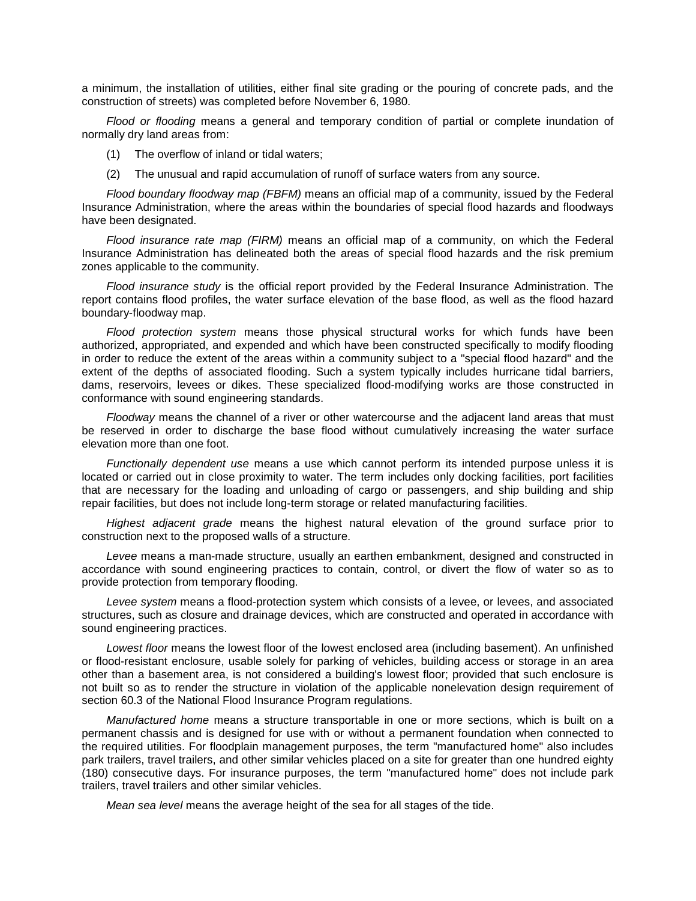a minimum, the installation of utilities, either final site grading or the pouring of concrete pads, and the construction of streets) was completed before November 6, 1980.

*Flood or flooding* means a general and temporary condition of partial or complete inundation of normally dry land areas from:

- (1) The overflow of inland or tidal waters;
- (2) The unusual and rapid accumulation of runoff of surface waters from any source.

*Flood boundary floodway map (FBFM)* means an official map of a community, issued by the Federal Insurance Administration, where the areas within the boundaries of special flood hazards and floodways have been designated.

*Flood insurance rate map (FIRM)* means an official map of a community, on which the Federal Insurance Administration has delineated both the areas of special flood hazards and the risk premium zones applicable to the community.

*Flood insurance study* is the official report provided by the Federal Insurance Administration. The report contains flood profiles, the water surface elevation of the base flood, as well as the flood hazard boundary-floodway map.

*Flood protection system* means those physical structural works for which funds have been authorized, appropriated, and expended and which have been constructed specifically to modify flooding in order to reduce the extent of the areas within a community subject to a "special flood hazard" and the extent of the depths of associated flooding. Such a system typically includes hurricane tidal barriers, dams, reservoirs, levees or dikes. These specialized flood-modifying works are those constructed in conformance with sound engineering standards.

*Floodway* means the channel of a river or other watercourse and the adjacent land areas that must be reserved in order to discharge the base flood without cumulatively increasing the water surface elevation more than one foot.

*Functionally dependent use* means a use which cannot perform its intended purpose unless it is located or carried out in close proximity to water. The term includes only docking facilities, port facilities that are necessary for the loading and unloading of cargo or passengers, and ship building and ship repair facilities, but does not include long-term storage or related manufacturing facilities.

*Highest adjacent grade* means the highest natural elevation of the ground surface prior to construction next to the proposed walls of a structure.

*Levee* means a man-made structure, usually an earthen embankment, designed and constructed in accordance with sound engineering practices to contain, control, or divert the flow of water so as to provide protection from temporary flooding.

*Levee system* means a flood-protection system which consists of a levee, or levees, and associated structures, such as closure and drainage devices, which are constructed and operated in accordance with sound engineering practices.

*Lowest floor* means the lowest floor of the lowest enclosed area (including basement). An unfinished or flood-resistant enclosure, usable solely for parking of vehicles, building access or storage in an area other than a basement area, is not considered a building's lowest floor; provided that such enclosure is not built so as to render the structure in violation of the applicable nonelevation design requirement of section 60.3 of the National Flood Insurance Program regulations.

*Manufactured home* means a structure transportable in one or more sections, which is built on a permanent chassis and is designed for use with or without a permanent foundation when connected to the required utilities. For floodplain management purposes, the term "manufactured home" also includes park trailers, travel trailers, and other similar vehicles placed on a site for greater than one hundred eighty (180) consecutive days. For insurance purposes, the term "manufactured home" does not include park trailers, travel trailers and other similar vehicles.

*Mean sea level* means the average height of the sea for all stages of the tide.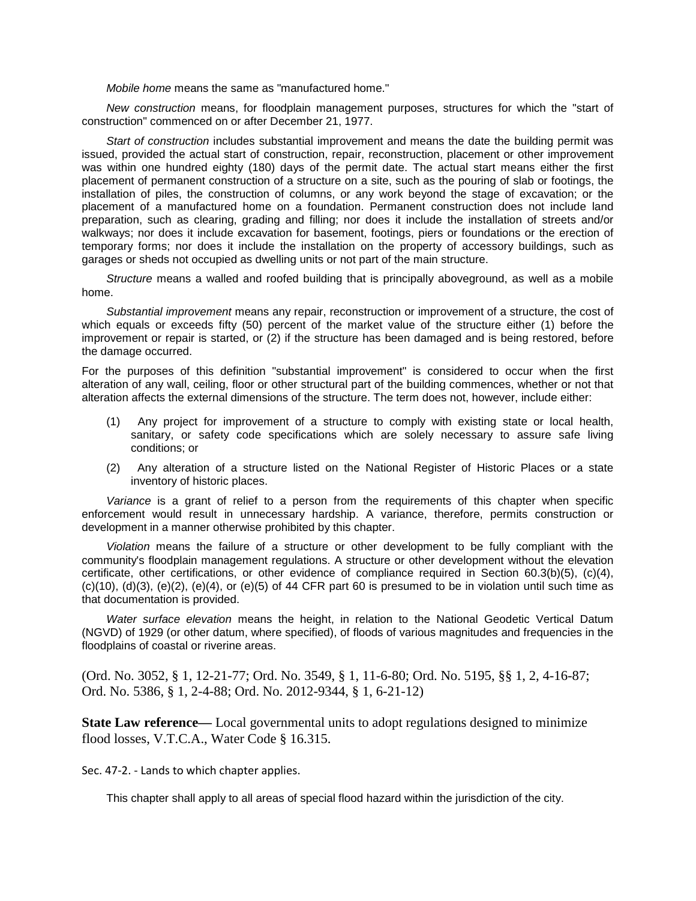*Mobile home* means the same as "manufactured home."

*New construction* means, for floodplain management purposes, structures for which the "start of construction" commenced on or after December 21, 1977.

*Start of construction* includes substantial improvement and means the date the building permit was issued, provided the actual start of construction, repair, reconstruction, placement or other improvement was within one hundred eighty (180) days of the permit date. The actual start means either the first placement of permanent construction of a structure on a site, such as the pouring of slab or footings, the installation of piles, the construction of columns, or any work beyond the stage of excavation; or the placement of a manufactured home on a foundation. Permanent construction does not include land preparation, such as clearing, grading and filling; nor does it include the installation of streets and/or walkways; nor does it include excavation for basement, footings, piers or foundations or the erection of temporary forms; nor does it include the installation on the property of accessory buildings, such as garages or sheds not occupied as dwelling units or not part of the main structure.

*Structure* means a walled and roofed building that is principally aboveground, as well as a mobile home.

*Substantial improvement* means any repair, reconstruction or improvement of a structure, the cost of which equals or exceeds fifty (50) percent of the market value of the structure either (1) before the improvement or repair is started, or (2) if the structure has been damaged and is being restored, before the damage occurred.

For the purposes of this definition "substantial improvement" is considered to occur when the first alteration of any wall, ceiling, floor or other structural part of the building commences, whether or not that alteration affects the external dimensions of the structure. The term does not, however, include either:

- (1) Any project for improvement of a structure to comply with existing state or local health, sanitary, or safety code specifications which are solely necessary to assure safe living conditions; or
- (2) Any alteration of a structure listed on the National Register of Historic Places or a state inventory of historic places.

*Variance* is a grant of relief to a person from the requirements of this chapter when specific enforcement would result in unnecessary hardship. A variance, therefore, permits construction or development in a manner otherwise prohibited by this chapter.

*Violation* means the failure of a structure or other development to be fully compliant with the community's floodplain management regulations. A structure or other development without the elevation certificate, other certifications, or other evidence of compliance required in Section 60.3(b)(5), (c)(4),  $(c)(10)$ ,  $(d)(3)$ ,  $(e)(2)$ ,  $(e)(4)$ , or  $(e)(5)$  of 44 CFR part 60 is presumed to be in violation until such time as that documentation is provided.

*Water surface elevation* means the height, in relation to the National Geodetic Vertical Datum (NGVD) of 1929 (or other datum, where specified), of floods of various magnitudes and frequencies in the floodplains of coastal or riverine areas.

(Ord. No. 3052, § 1, 12-21-77; Ord. No. 3549, § 1, 11-6-80; Ord. No. 5195, §§ 1, 2, 4-16-87; Ord. No. 5386, § 1, 2-4-88; Ord. No. 2012-9344, § 1, 6-21-12)

**State Law reference—** Local governmental units to adopt regulations designed to minimize flood losses, V.T.C.A., Water Code § 16.315.

Sec. 47-2. - Lands to which chapter applies.

This chapter shall apply to all areas of special flood hazard within the jurisdiction of the city.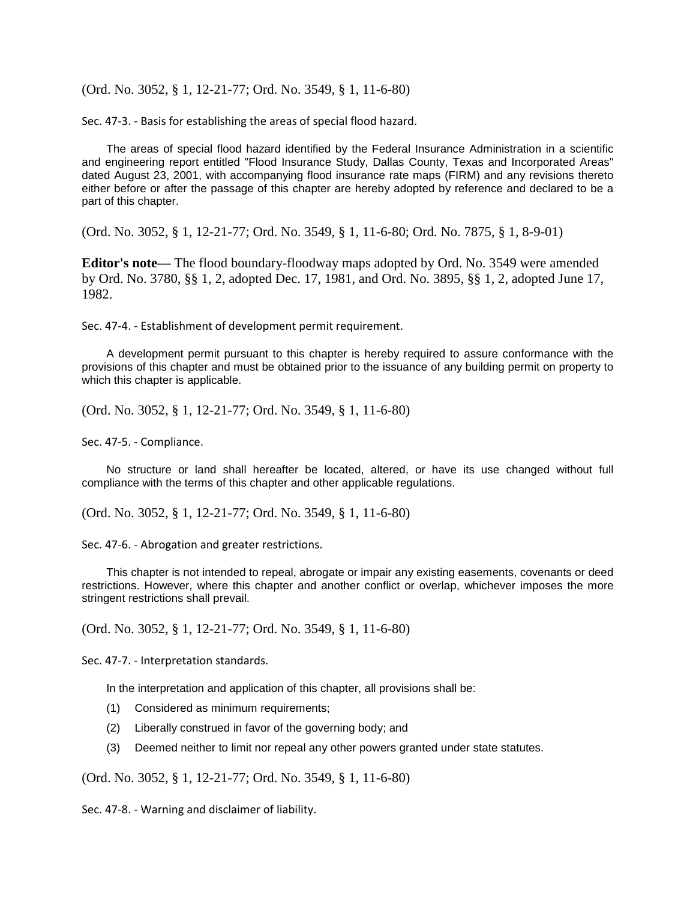(Ord. No. 3052, § 1, 12-21-77; Ord. No. 3549, § 1, 11-6-80)

Sec. 47-3. - Basis for establishing the areas of special flood hazard.

The areas of special flood hazard identified by the Federal Insurance Administration in a scientific and engineering report entitled "Flood Insurance Study, Dallas County, Texas and Incorporated Areas" dated August 23, 2001, with accompanying flood insurance rate maps (FIRM) and any revisions thereto either before or after the passage of this chapter are hereby adopted by reference and declared to be a part of this chapter.

(Ord. No. 3052, § 1, 12-21-77; Ord. No. 3549, § 1, 11-6-80; Ord. No. 7875, § 1, 8-9-01)

**Editor's note—** The flood boundary-floodway maps adopted by Ord. No. 3549 were amended by Ord. No. 3780, §§ 1, 2, adopted Dec. 17, 1981, and Ord. No. 3895, §§ 1, 2, adopted June 17, 1982.

Sec. 47-4. - Establishment of development permit requirement.

A development permit pursuant to this chapter is hereby required to assure conformance with the provisions of this chapter and must be obtained prior to the issuance of any building permit on property to which this chapter is applicable.

(Ord. No. 3052, § 1, 12-21-77; Ord. No. 3549, § 1, 11-6-80)

Sec. 47-5. - Compliance.

No structure or land shall hereafter be located, altered, or have its use changed without full compliance with the terms of this chapter and other applicable regulations.

(Ord. No. 3052, § 1, 12-21-77; Ord. No. 3549, § 1, 11-6-80)

Sec. 47-6. - Abrogation and greater restrictions.

This chapter is not intended to repeal, abrogate or impair any existing easements, covenants or deed restrictions. However, where this chapter and another conflict or overlap, whichever imposes the more stringent restrictions shall prevail.

(Ord. No. 3052, § 1, 12-21-77; Ord. No. 3549, § 1, 11-6-80)

Sec. 47-7. - Interpretation standards.

In the interpretation and application of this chapter, all provisions shall be:

- (1) Considered as minimum requirements;
- (2) Liberally construed in favor of the governing body; and
- (3) Deemed neither to limit nor repeal any other powers granted under state statutes.

(Ord. No. 3052, § 1, 12-21-77; Ord. No. 3549, § 1, 11-6-80)

Sec. 47-8. - Warning and disclaimer of liability.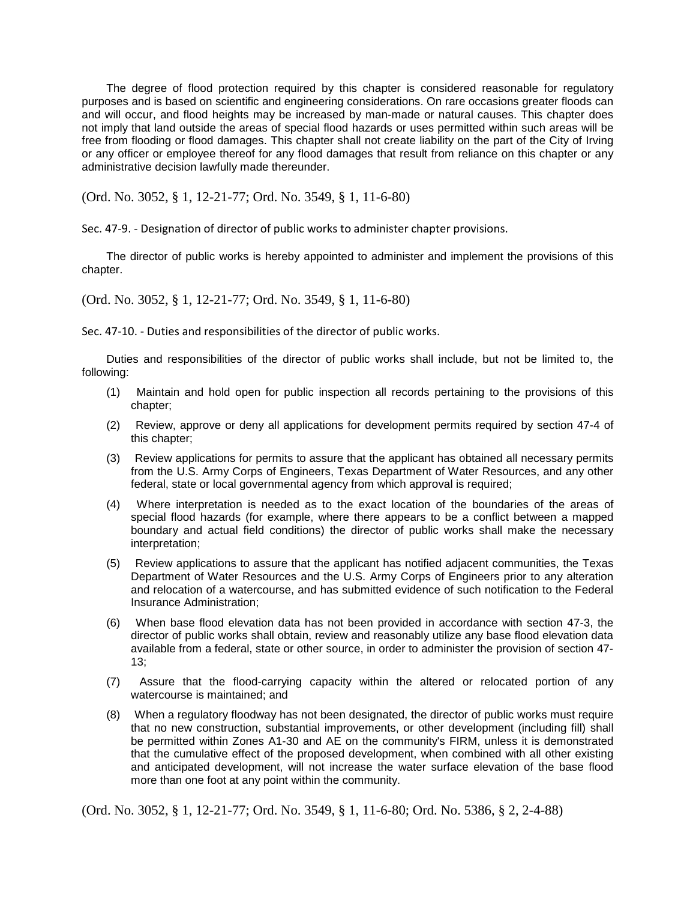The degree of flood protection required by this chapter is considered reasonable for regulatory purposes and is based on scientific and engineering considerations. On rare occasions greater floods can and will occur, and flood heights may be increased by man-made or natural causes. This chapter does not imply that land outside the areas of special flood hazards or uses permitted within such areas will be free from flooding or flood damages. This chapter shall not create liability on the part of the City of Irving or any officer or employee thereof for any flood damages that result from reliance on this chapter or any administrative decision lawfully made thereunder.

(Ord. No. 3052, § 1, 12-21-77; Ord. No. 3549, § 1, 11-6-80)

Sec. 47-9. - Designation of director of public works to administer chapter provisions.

The director of public works is hereby appointed to administer and implement the provisions of this chapter.

(Ord. No. 3052, § 1, 12-21-77; Ord. No. 3549, § 1, 11-6-80)

Sec. 47-10. - Duties and responsibilities of the director of public works.

Duties and responsibilities of the director of public works shall include, but not be limited to, the following:

- (1) Maintain and hold open for public inspection all records pertaining to the provisions of this chapter;
- (2) Review, approve or deny all applications for development permits required by section 47-4 of this chapter;
- (3) Review applications for permits to assure that the applicant has obtained all necessary permits from the U.S. Army Corps of Engineers, Texas Department of Water Resources, and any other federal, state or local governmental agency from which approval is required;
- (4) Where interpretation is needed as to the exact location of the boundaries of the areas of special flood hazards (for example, where there appears to be a conflict between a mapped boundary and actual field conditions) the director of public works shall make the necessary interpretation;
- (5) Review applications to assure that the applicant has notified adjacent communities, the Texas Department of Water Resources and the U.S. Army Corps of Engineers prior to any alteration and relocation of a watercourse, and has submitted evidence of such notification to the Federal Insurance Administration;
- (6) When base flood elevation data has not been provided in accordance with section 47-3, the director of public works shall obtain, review and reasonably utilize any base flood elevation data available from a federal, state or other source, in order to administer the provision of section 47- 13;
- (7) Assure that the flood-carrying capacity within the altered or relocated portion of any watercourse is maintained; and
- (8) When a regulatory floodway has not been designated, the director of public works must require that no new construction, substantial improvements, or other development (including fill) shall be permitted within Zones A1-30 and AE on the community's FIRM, unless it is demonstrated that the cumulative effect of the proposed development, when combined with all other existing and anticipated development, will not increase the water surface elevation of the base flood more than one foot at any point within the community.

(Ord. No. 3052, § 1, 12-21-77; Ord. No. 3549, § 1, 11-6-80; Ord. No. 5386, § 2, 2-4-88)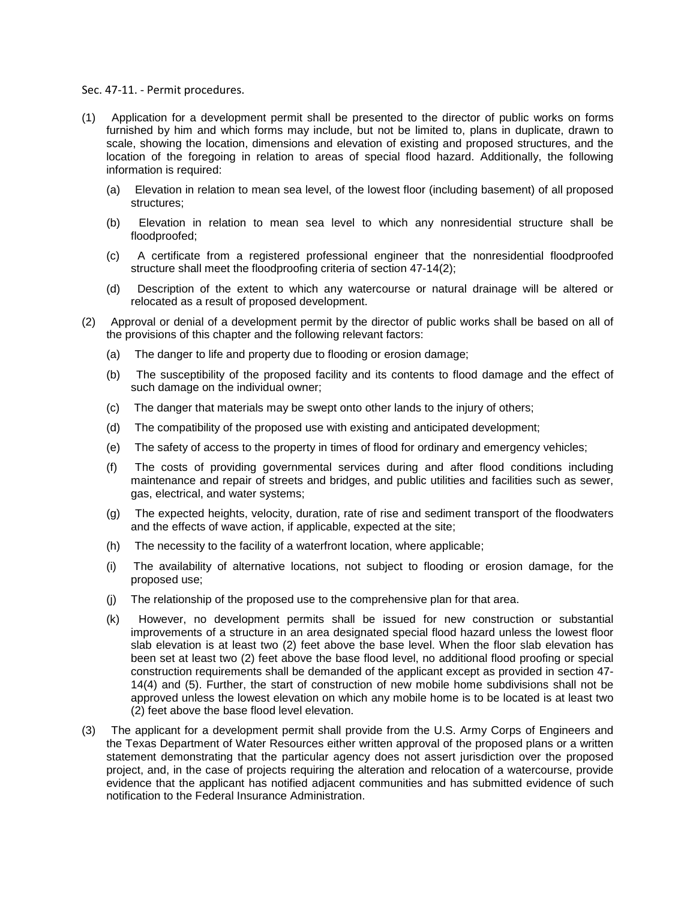#### Sec. 47-11. - Permit procedures.

- (1) Application for a development permit shall be presented to the director of public works on forms furnished by him and which forms may include, but not be limited to, plans in duplicate, drawn to scale, showing the location, dimensions and elevation of existing and proposed structures, and the location of the foregoing in relation to areas of special flood hazard. Additionally, the following information is required:
	- (a) Elevation in relation to mean sea level, of the lowest floor (including basement) of all proposed structures;
	- (b) Elevation in relation to mean sea level to which any nonresidential structure shall be floodproofed;
	- (c) A certificate from a registered professional engineer that the nonresidential floodproofed structure shall meet the floodproofing criteria of section 47-14(2);
	- (d) Description of the extent to which any watercourse or natural drainage will be altered or relocated as a result of proposed development.
- (2) Approval or denial of a development permit by the director of public works shall be based on all of the provisions of this chapter and the following relevant factors:
	- (a) The danger to life and property due to flooding or erosion damage;
	- (b) The susceptibility of the proposed facility and its contents to flood damage and the effect of such damage on the individual owner;
	- (c) The danger that materials may be swept onto other lands to the injury of others;
	- (d) The compatibility of the proposed use with existing and anticipated development;
	- (e) The safety of access to the property in times of flood for ordinary and emergency vehicles;
	- (f) The costs of providing governmental services during and after flood conditions including maintenance and repair of streets and bridges, and public utilities and facilities such as sewer, gas, electrical, and water systems;
	- (g) The expected heights, velocity, duration, rate of rise and sediment transport of the floodwaters and the effects of wave action, if applicable, expected at the site;
	- (h) The necessity to the facility of a waterfront location, where applicable;
	- (i) The availability of alternative locations, not subject to flooding or erosion damage, for the proposed use;
	- (j) The relationship of the proposed use to the comprehensive plan for that area.
	- (k) However, no development permits shall be issued for new construction or substantial improvements of a structure in an area designated special flood hazard unless the lowest floor slab elevation is at least two (2) feet above the base level. When the floor slab elevation has been set at least two (2) feet above the base flood level, no additional flood proofing or special construction requirements shall be demanded of the applicant except as provided in section 47- 14(4) and (5). Further, the start of construction of new mobile home subdivisions shall not be approved unless the lowest elevation on which any mobile home is to be located is at least two (2) feet above the base flood level elevation.
- (3) The applicant for a development permit shall provide from the U.S. Army Corps of Engineers and the Texas Department of Water Resources either written approval of the proposed plans or a written statement demonstrating that the particular agency does not assert jurisdiction over the proposed project, and, in the case of projects requiring the alteration and relocation of a watercourse, provide evidence that the applicant has notified adjacent communities and has submitted evidence of such notification to the Federal Insurance Administration.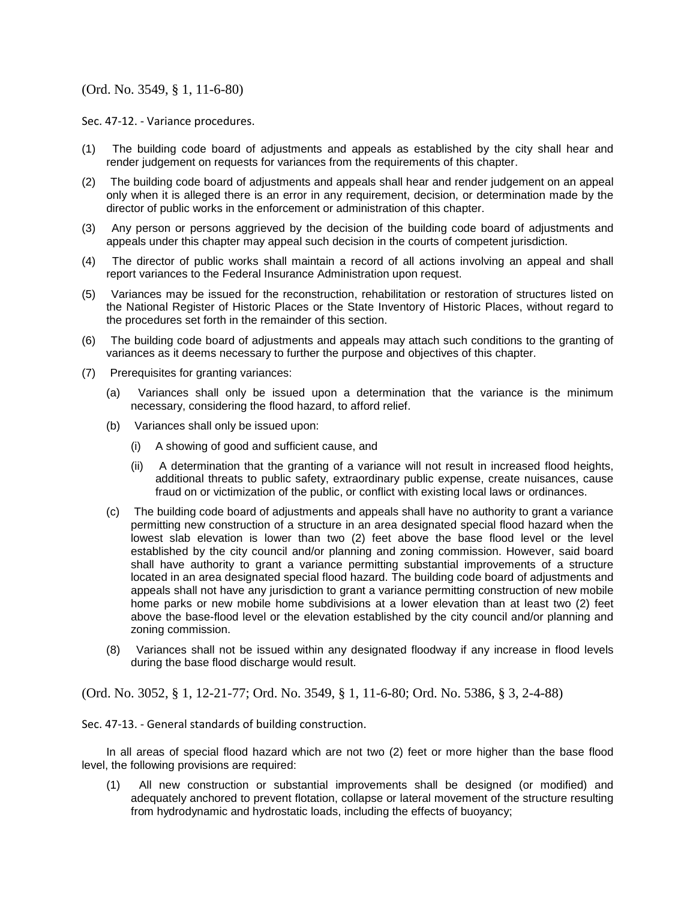# (Ord. No. 3549, § 1, 11-6-80)

Sec. 47-12. - Variance procedures.

- (1) The building code board of adjustments and appeals as established by the city shall hear and render judgement on requests for variances from the requirements of this chapter.
- (2) The building code board of adjustments and appeals shall hear and render judgement on an appeal only when it is alleged there is an error in any requirement, decision, or determination made by the director of public works in the enforcement or administration of this chapter.
- (3) Any person or persons aggrieved by the decision of the building code board of adjustments and appeals under this chapter may appeal such decision in the courts of competent jurisdiction.
- (4) The director of public works shall maintain a record of all actions involving an appeal and shall report variances to the Federal Insurance Administration upon request.
- (5) Variances may be issued for the reconstruction, rehabilitation or restoration of structures listed on the National Register of Historic Places or the State Inventory of Historic Places, without regard to the procedures set forth in the remainder of this section.
- (6) The building code board of adjustments and appeals may attach such conditions to the granting of variances as it deems necessary to further the purpose and objectives of this chapter.
- (7) Prerequisites for granting variances:
	- (a) Variances shall only be issued upon a determination that the variance is the minimum necessary, considering the flood hazard, to afford relief.
	- (b) Variances shall only be issued upon:
		- (i) A showing of good and sufficient cause, and
		- (ii) A determination that the granting of a variance will not result in increased flood heights, additional threats to public safety, extraordinary public expense, create nuisances, cause fraud on or victimization of the public, or conflict with existing local laws or ordinances.
	- (c) The building code board of adjustments and appeals shall have no authority to grant a variance permitting new construction of a structure in an area designated special flood hazard when the lowest slab elevation is lower than two (2) feet above the base flood level or the level established by the city council and/or planning and zoning commission. However, said board shall have authority to grant a variance permitting substantial improvements of a structure located in an area designated special flood hazard. The building code board of adjustments and appeals shall not have any jurisdiction to grant a variance permitting construction of new mobile home parks or new mobile home subdivisions at a lower elevation than at least two (2) feet above the base-flood level or the elevation established by the city council and/or planning and zoning commission.
	- (8) Variances shall not be issued within any designated floodway if any increase in flood levels during the base flood discharge would result.

(Ord. No. 3052, § 1, 12-21-77; Ord. No. 3549, § 1, 11-6-80; Ord. No. 5386, § 3, 2-4-88)

Sec. 47-13. - General standards of building construction.

In all areas of special flood hazard which are not two (2) feet or more higher than the base flood level, the following provisions are required:

(1) All new construction or substantial improvements shall be designed (or modified) and adequately anchored to prevent flotation, collapse or lateral movement of the structure resulting from hydrodynamic and hydrostatic loads, including the effects of buoyancy;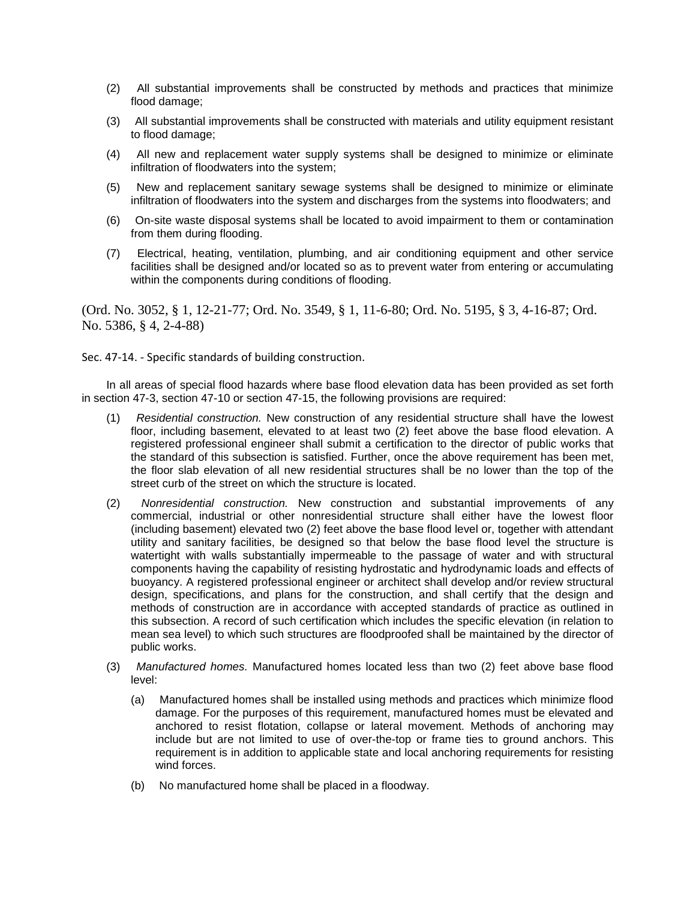- (2) All substantial improvements shall be constructed by methods and practices that minimize flood damage;
- (3) All substantial improvements shall be constructed with materials and utility equipment resistant to flood damage;
- (4) All new and replacement water supply systems shall be designed to minimize or eliminate infiltration of floodwaters into the system;
- (5) New and replacement sanitary sewage systems shall be designed to minimize or eliminate infiltration of floodwaters into the system and discharges from the systems into floodwaters; and
- (6) On-site waste disposal systems shall be located to avoid impairment to them or contamination from them during flooding.
- (7) Electrical, heating, ventilation, plumbing, and air conditioning equipment and other service facilities shall be designed and/or located so as to prevent water from entering or accumulating within the components during conditions of flooding.

(Ord. No. 3052, § 1, 12-21-77; Ord. No. 3549, § 1, 11-6-80; Ord. No. 5195, § 3, 4-16-87; Ord. No. 5386, § 4, 2-4-88)

Sec. 47-14. - Specific standards of building construction.

In all areas of special flood hazards where base flood elevation data has been provided as set forth in section 47-3, section 47-10 or section 47-15, the following provisions are required:

- (1) *Residential construction.* New construction of any residential structure shall have the lowest floor, including basement, elevated to at least two (2) feet above the base flood elevation. A registered professional engineer shall submit a certification to the director of public works that the standard of this subsection is satisfied. Further, once the above requirement has been met, the floor slab elevation of all new residential structures shall be no lower than the top of the street curb of the street on which the structure is located.
- (2) *Nonresidential construction.* New construction and substantial improvements of any commercial, industrial or other nonresidential structure shall either have the lowest floor (including basement) elevated two (2) feet above the base flood level or, together with attendant utility and sanitary facilities, be designed so that below the base flood level the structure is watertight with walls substantially impermeable to the passage of water and with structural components having the capability of resisting hydrostatic and hydrodynamic loads and effects of buoyancy. A registered professional engineer or architect shall develop and/or review structural design, specifications, and plans for the construction, and shall certify that the design and methods of construction are in accordance with accepted standards of practice as outlined in this subsection. A record of such certification which includes the specific elevation (in relation to mean sea level) to which such structures are floodproofed shall be maintained by the director of public works.
- (3) *Manufactured homes.* Manufactured homes located less than two (2) feet above base flood level:
	- (a) Manufactured homes shall be installed using methods and practices which minimize flood damage. For the purposes of this requirement, manufactured homes must be elevated and anchored to resist flotation, collapse or lateral movement. Methods of anchoring may include but are not limited to use of over-the-top or frame ties to ground anchors. This requirement is in addition to applicable state and local anchoring requirements for resisting wind forces.
	- (b) No manufactured home shall be placed in a floodway.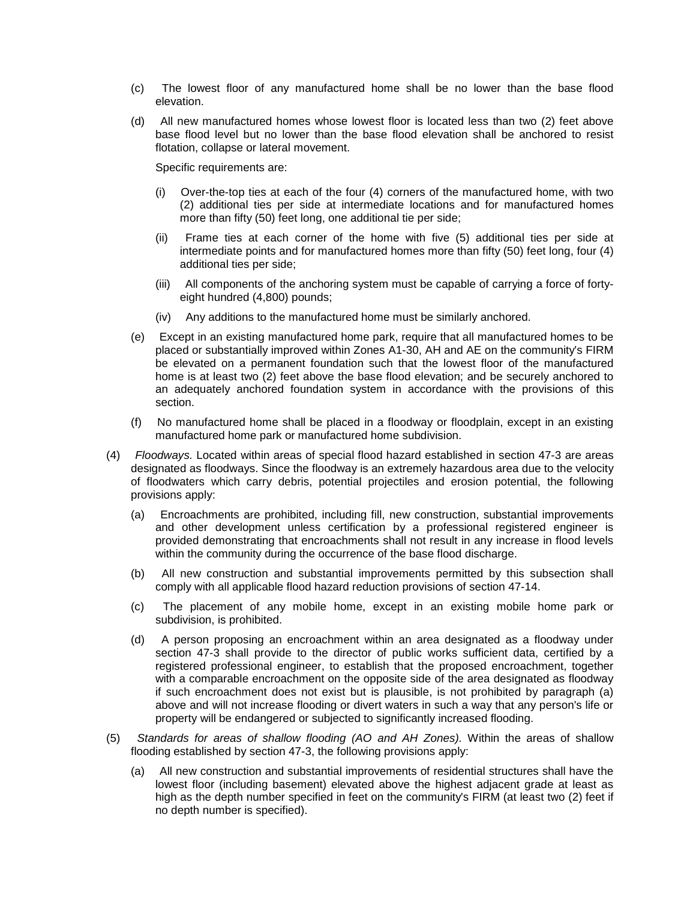- (c) The lowest floor of any manufactured home shall be no lower than the base flood elevation.
- (d) All new manufactured homes whose lowest floor is located less than two (2) feet above base flood level but no lower than the base flood elevation shall be anchored to resist flotation, collapse or lateral movement.

Specific requirements are:

- (i) Over-the-top ties at each of the four (4) corners of the manufactured home, with two (2) additional ties per side at intermediate locations and for manufactured homes more than fifty (50) feet long, one additional tie per side;
- (ii) Frame ties at each corner of the home with five (5) additional ties per side at intermediate points and for manufactured homes more than fifty (50) feet long, four (4) additional ties per side;
- (iii) All components of the anchoring system must be capable of carrying a force of fortyeight hundred (4,800) pounds;
- (iv) Any additions to the manufactured home must be similarly anchored.
- (e) Except in an existing manufactured home park, require that all manufactured homes to be placed or substantially improved within Zones A1-30, AH and AE on the community's FIRM be elevated on a permanent foundation such that the lowest floor of the manufactured home is at least two (2) feet above the base flood elevation; and be securely anchored to an adequately anchored foundation system in accordance with the provisions of this section.
- (f) No manufactured home shall be placed in a floodway or floodplain, except in an existing manufactured home park or manufactured home subdivision.
- (4) *Floodways.* Located within areas of special flood hazard established in section 47-3 are areas designated as floodways. Since the floodway is an extremely hazardous area due to the velocity of floodwaters which carry debris, potential projectiles and erosion potential, the following provisions apply:
	- (a) Encroachments are prohibited, including fill, new construction, substantial improvements and other development unless certification by a professional registered engineer is provided demonstrating that encroachments shall not result in any increase in flood levels within the community during the occurrence of the base flood discharge.
	- (b) All new construction and substantial improvements permitted by this subsection shall comply with all applicable flood hazard reduction provisions of section 47-14.
	- (c) The placement of any mobile home, except in an existing mobile home park or subdivision, is prohibited.
	- (d) A person proposing an encroachment within an area designated as a floodway under section 47-3 shall provide to the director of public works sufficient data, certified by a registered professional engineer, to establish that the proposed encroachment, together with a comparable encroachment on the opposite side of the area designated as floodway if such encroachment does not exist but is plausible, is not prohibited by paragraph (a) above and will not increase flooding or divert waters in such a way that any person's life or property will be endangered or subjected to significantly increased flooding.
- (5) *Standards for areas of shallow flooding (AO and AH Zones).* Within the areas of shallow flooding established by section 47-3, the following provisions apply:
	- (a) All new construction and substantial improvements of residential structures shall have the lowest floor (including basement) elevated above the highest adjacent grade at least as high as the depth number specified in feet on the community's FIRM (at least two (2) feet if no depth number is specified).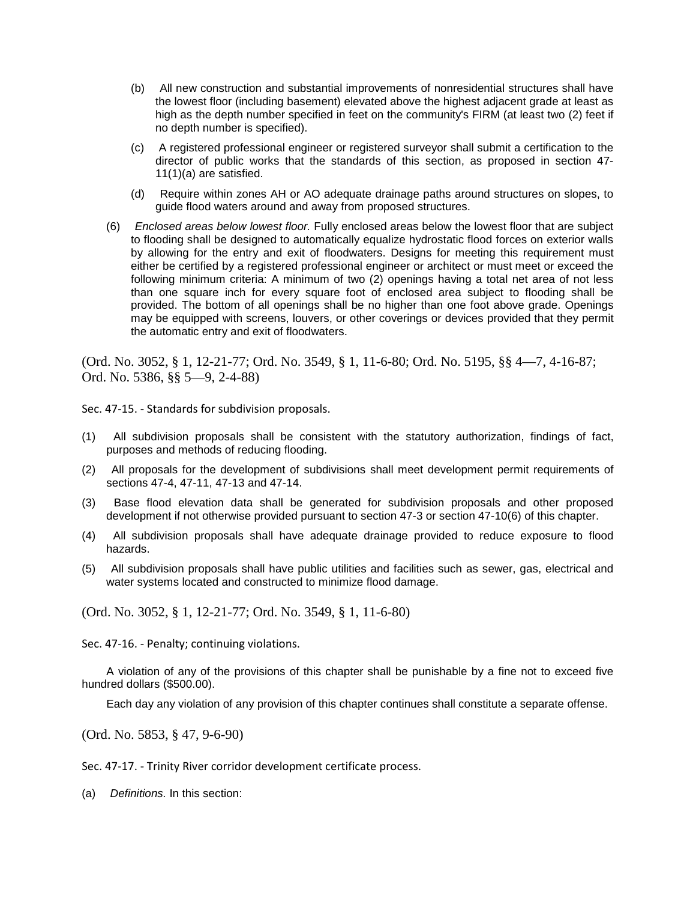- (b) All new construction and substantial improvements of nonresidential structures shall have the lowest floor (including basement) elevated above the highest adjacent grade at least as high as the depth number specified in feet on the community's FIRM (at least two (2) feet if no depth number is specified).
- (c) A registered professional engineer or registered surveyor shall submit a certification to the director of public works that the standards of this section, as proposed in section 47- 11(1)(a) are satisfied.
- (d) Require within zones AH or AO adequate drainage paths around structures on slopes, to guide flood waters around and away from proposed structures.
- (6) *Enclosed areas below lowest floor.* Fully enclosed areas below the lowest floor that are subject to flooding shall be designed to automatically equalize hydrostatic flood forces on exterior walls by allowing for the entry and exit of floodwaters. Designs for meeting this requirement must either be certified by a registered professional engineer or architect or must meet or exceed the following minimum criteria: A minimum of two (2) openings having a total net area of not less than one square inch for every square foot of enclosed area subject to flooding shall be provided. The bottom of all openings shall be no higher than one foot above grade. Openings may be equipped with screens, louvers, or other coverings or devices provided that they permit the automatic entry and exit of floodwaters.

(Ord. No. 3052, § 1, 12-21-77; Ord. No. 3549, § 1, 11-6-80; Ord. No. 5195, §§ 4—7, 4-16-87; Ord. No. 5386, §§ 5—9, 2-4-88)

Sec. 47-15. - Standards for subdivision proposals.

- (1) All subdivision proposals shall be consistent with the statutory authorization, findings of fact, purposes and methods of reducing flooding.
- (2) All proposals for the development of subdivisions shall meet development permit requirements of sections 47-4, 47-11, 47-13 and 47-14.
- (3) Base flood elevation data shall be generated for subdivision proposals and other proposed development if not otherwise provided pursuant to section 47-3 or section 47-10(6) of this chapter.
- (4) All subdivision proposals shall have adequate drainage provided to reduce exposure to flood hazards.
- (5) All subdivision proposals shall have public utilities and facilities such as sewer, gas, electrical and water systems located and constructed to minimize flood damage.

(Ord. No. 3052, § 1, 12-21-77; Ord. No. 3549, § 1, 11-6-80)

Sec. 47-16. - Penalty; continuing violations.

A violation of any of the provisions of this chapter shall be punishable by a fine not to exceed five hundred dollars (\$500.00).

Each day any violation of any provision of this chapter continues shall constitute a separate offense.

(Ord. No. 5853, § 47, 9-6-90)

Sec. 47-17. - Trinity River corridor development certificate process.

(a) *Definitions.* In this section: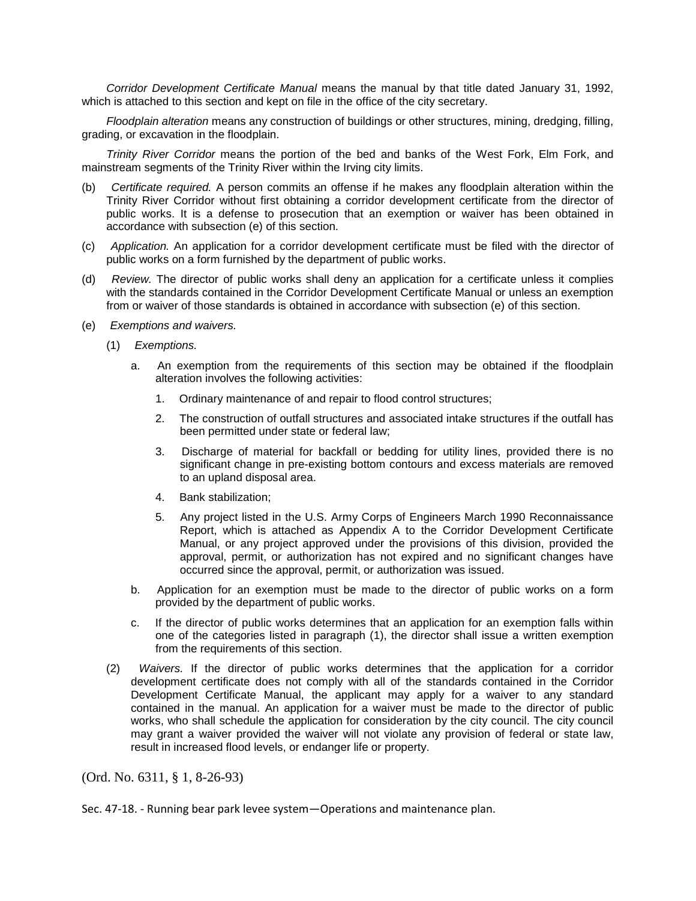*Corridor Development Certificate Manual* means the manual by that title dated January 31, 1992, which is attached to this section and kept on file in the office of the city secretary.

*Floodplain alteration* means any construction of buildings or other structures, mining, dredging, filling, grading, or excavation in the floodplain.

*Trinity River Corridor* means the portion of the bed and banks of the West Fork, Elm Fork, and mainstream segments of the Trinity River within the Irving city limits.

- (b) *Certificate required.* A person commits an offense if he makes any floodplain alteration within the Trinity River Corridor without first obtaining a corridor development certificate from the director of public works. It is a defense to prosecution that an exemption or waiver has been obtained in accordance with subsection (e) of this section.
- (c) *Application.* An application for a corridor development certificate must be filed with the director of public works on a form furnished by the department of public works.
- (d) *Review.* The director of public works shall deny an application for a certificate unless it complies with the standards contained in the Corridor Development Certificate Manual or unless an exemption from or waiver of those standards is obtained in accordance with subsection (e) of this section.
- (e) *Exemptions and waivers.*
	- (1) *Exemptions.*
		- a. An exemption from the requirements of this section may be obtained if the floodplain alteration involves the following activities:
			- 1. Ordinary maintenance of and repair to flood control structures;
			- 2. The construction of outfall structures and associated intake structures if the outfall has been permitted under state or federal law;
			- 3. Discharge of material for backfall or bedding for utility lines, provided there is no significant change in pre-existing bottom contours and excess materials are removed to an upland disposal area.
			- 4. Bank stabilization;
			- 5. Any project listed in the U.S. Army Corps of Engineers March 1990 Reconnaissance Report, which is attached as Appendix A to the Corridor Development Certificate Manual, or any project approved under the provisions of this division, provided the approval, permit, or authorization has not expired and no significant changes have occurred since the approval, permit, or authorization was issued.
		- b. Application for an exemption must be made to the director of public works on a form provided by the department of public works.
		- c. If the director of public works determines that an application for an exemption falls within one of the categories listed in paragraph (1), the director shall issue a written exemption from the requirements of this section.
	- (2) *Waivers.* If the director of public works determines that the application for a corridor development certificate does not comply with all of the standards contained in the Corridor Development Certificate Manual, the applicant may apply for a waiver to any standard contained in the manual. An application for a waiver must be made to the director of public works, who shall schedule the application for consideration by the city council. The city council may grant a waiver provided the waiver will not violate any provision of federal or state law, result in increased flood levels, or endanger life or property.

(Ord. No. 6311, § 1, 8-26-93)

Sec. 47-18. - Running bear park levee system—Operations and maintenance plan.